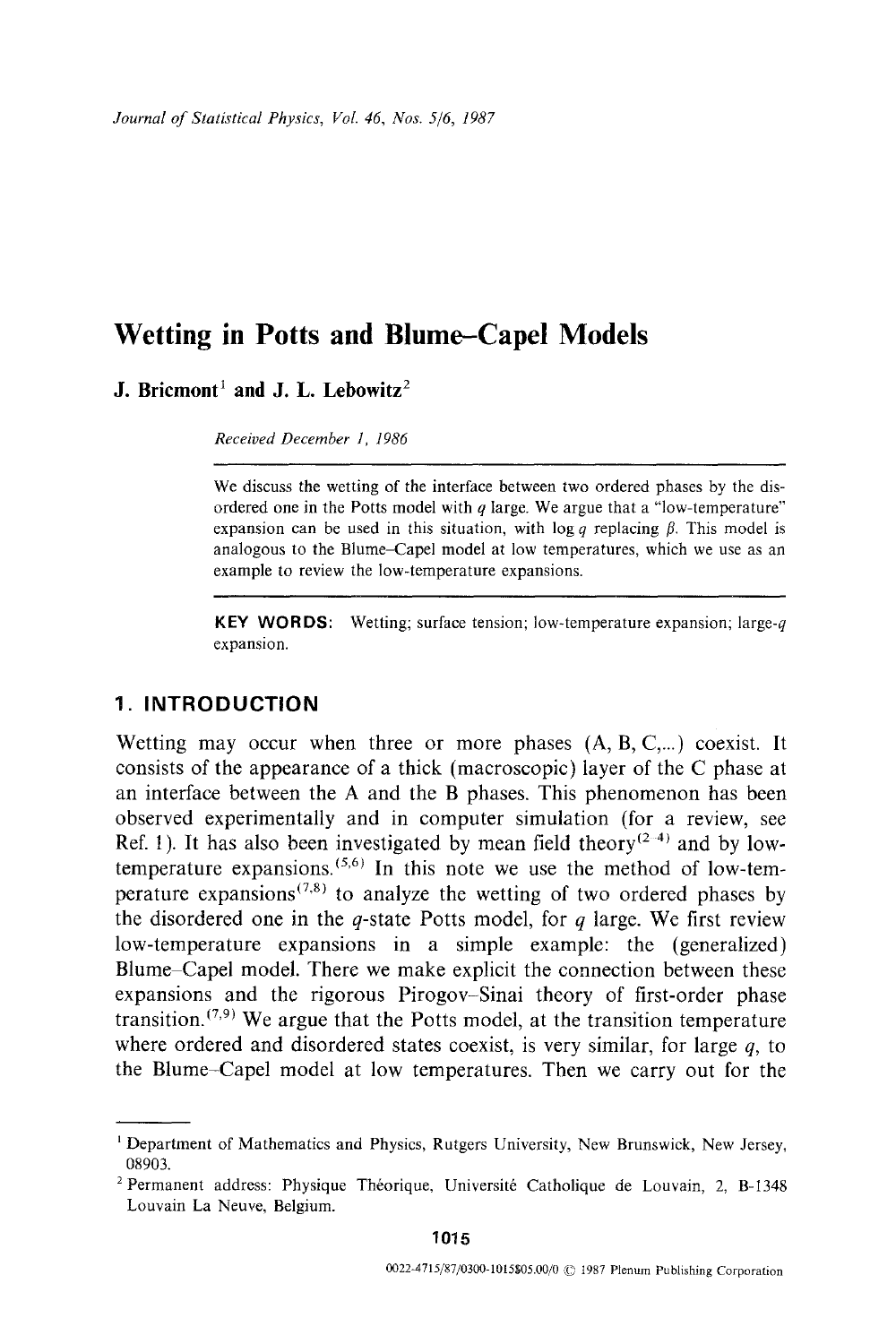**J. Bricmont**<sup>1</sup> and **J. L.** Lebowitz<sup>2</sup>

*Received December 1, 1986* 

We discuss the wetting of the interface between two ordered phases by the disordered one in the Potts model with  $q$  large. We argue that a "low-temperature" expansion can be used in this situation, with  $\log q$  replacing  $\beta$ . This model is analogous to the Blume-Capel model at low temperatures, which we use as an example to review the low-temperature expansions.

**KEY WORDS:** Wetting; surface tension; low-temperature expansion; large- $q$ expansion.

## **1. INTRODUCTION**

Wetting may occur when three or more phases  $(A, B, C, ...)$  coexist. It consists of the appearance of a thick (macroscopic) layer of the C phase at an interface between the A and the B phases. This phenomenon has been observed experimentally and in computer simulation (for a review, see Ref. 1). It has also been investigated by mean field theory  $(2-4)$  and by lowtemperature expansions.  $(5,6)$  In this note we use the method of low-temperature expansions<sup> $(7,8)$ </sup> to analyze the wetting of two ordered phases by the disordered one in the q-state Potts model, for q large. We first review low-temperature expansions in a simple example: the (generalized) Blume Capel model. There we make explicit the connection between these expansions and the rigorous Pirogov-Sinai theory of first-order phase transition.  $(7,9)$  We argue that the Potts model, at the transition temperature where ordered and disordered states coexist, is very similar, for large  $q$ , to the Blume-Capel model at low temperatures. Then we carry out for the

**1015** 

<sup>1</sup> Department of Mathematics and Physics, Rutgers University, New Brunswick, New Jersey, 08903.

<sup>&</sup>lt;sup>2</sup> Permanent address: Physique Théorique, Université Catholique de Louvain, 2, B-1348 Louvain La Neuve, Belgium.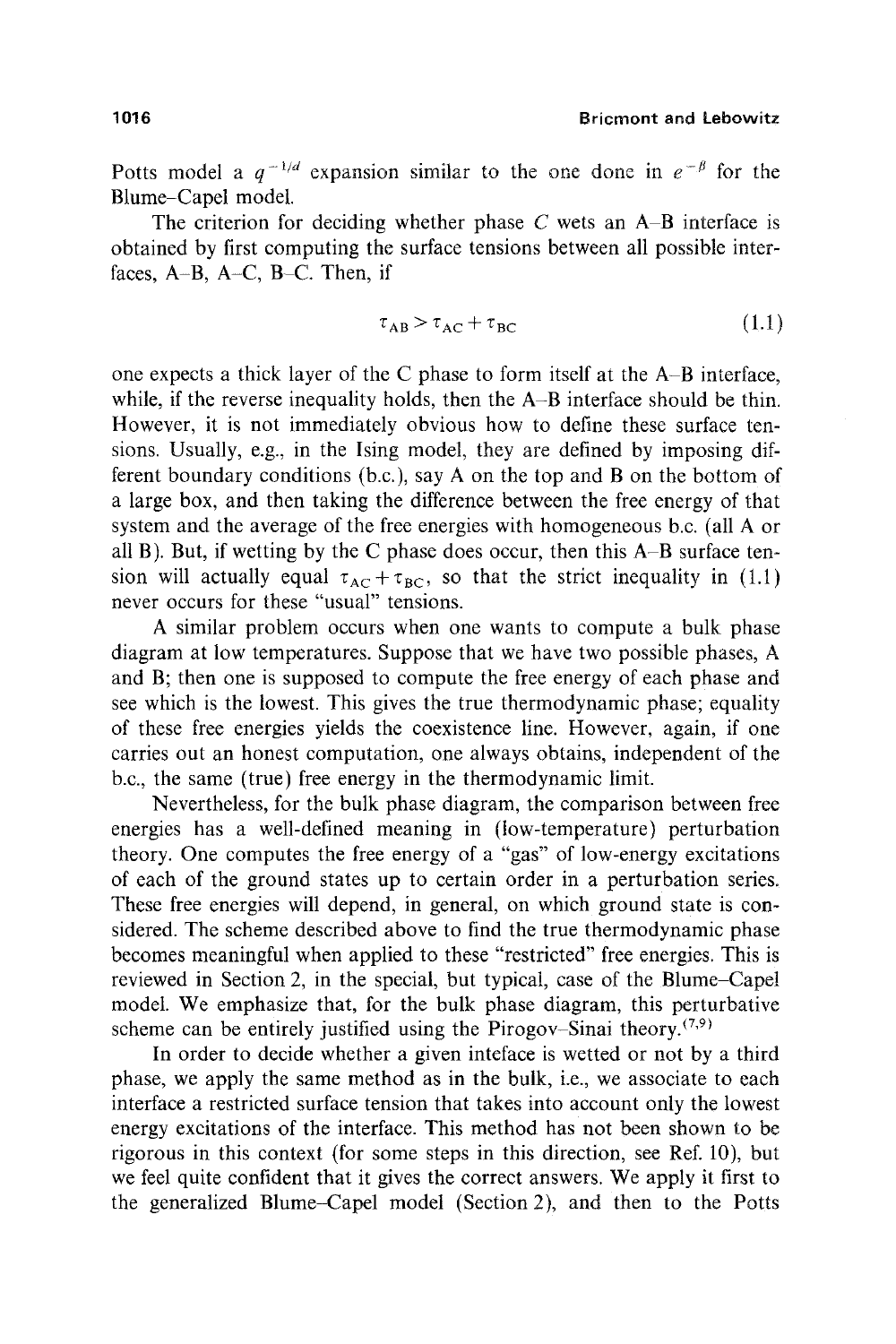Potts model a  $q^{-1/d}$  expansion similar to the one done in  $e^{-\beta}$  for the Blume-Capel model.

The criterion for deciding whether phase  $C$  wets an  $A-B$  interface is obtained by first computing the surface tensions between all possible interfaces,  $A-B$ ,  $A-C$ ,  $B-C$ . Then, if

$$
\tau_{AB} > \tau_{AC} + \tau_{BC} \tag{1.1}
$$

one expects a thick layer of the C phase to form itself at the A-B interface, while, if the reverse inequality holds, then the A-B interface should be thin. However, it is not immediately obvious how to define these surface tensions. Usually, e.g., in the Ising model, they are defined by imposing different boundary conditions (b.c.), say A on the top and B on the bottom of a large box, and then taking the difference between the free energy of that system and the average of the free energies with homogeneous b.c. (all A or all B). But, if wetting by the C phase does occur, then this A-B surface tension will actually equal  $\tau_{AC} + \tau_{BC}$ , so that the strict inequality in (1.1) never occurs for these "usual" tensions.

A similar problem occurs when one wants to compute a bulk phase diagram at low temperatures. Suppose that we have two possible phases, A and B; then one is supposed to compute the free energy of each phase and see which is the lowest. This gives the true thermodynamic phase; equality of these free energies yields the coexistence line. However, again, if one carries out an honest computation, one always obtains, independent of the b.c., the same (true) free energy in the thermodynamic limit.

Nevertheless, for the bulk phase diagram, the comparison between free energies has a well-defined meaning in (low-temperature) perturbation theory. One computes the free energy of a "gas" of low-energy excitations of each of the ground states up to certain order in a perturbation series. These free energies will depend, in general, on which ground state is considered. The scheme described above to find the true thermodynamic phase becomes meaningful when applied to these "restricted" free energies. This is reviewed in Section 2, in the special, but typical, case of the Blume-Capel model. We emphasize that, for the bulk phase diagram, this perturbative scheme can be entirely justified using the Pirogov-Sinai theory.<sup> $(7,9)$ </sup>

In order to decide whether a given inteface is wetted or not by a third phase, we apply the same method as in the bulk, i.e., we associate to each interface a restricted surface tension that takes into account only the lowest energy excitations of the interface. This method has not been shown to be rigorous in this context (for some steps in this direction, see Ref. 10), but we feel quite confident that it gives the correct answers. We apply it first to the generalized Blume-Capel model (Section 2), and then to the Potts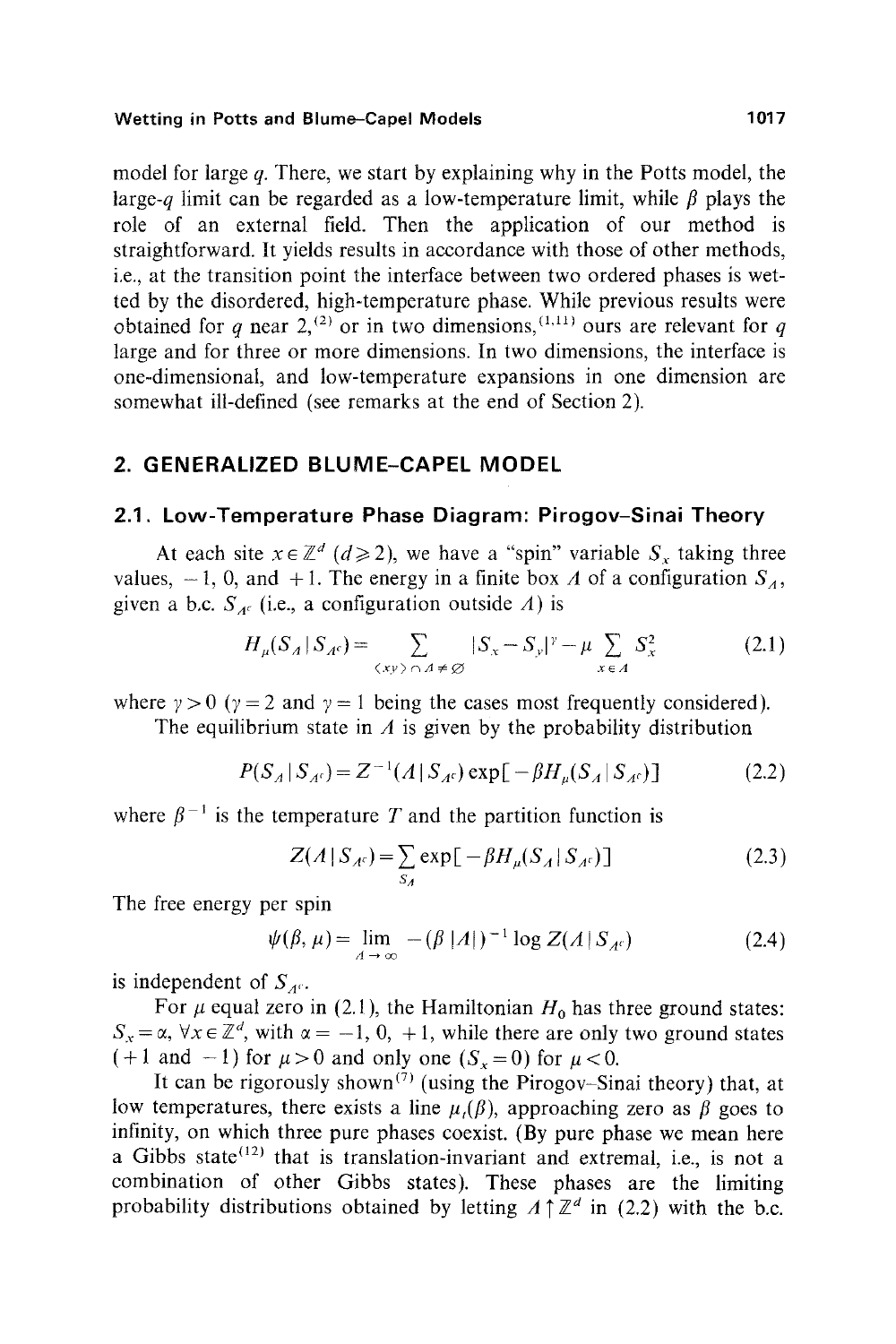model for large q. There, we start by explaining why in the Potts model, the large-q limit can be regarded as a low-temperature limit, while  $\beta$  plays the role of an external field. Then the application of our method is straightforward. It yields results in accordance with those of other methods, i.e., at the transition point the interface between two ordered phases is wetted by the disordered, high-temperature phase. While previous results were obtained for q near 2,<sup>(2)</sup> or in two dimensions,<sup>(1,11)</sup> ours are relevant for q large and for three or more dimensions. In two dimensions, the interface is one-dimensional, and low-temperature expansions in one dimension are somewhat ill-defined (see remarks at the end of Section 2).

# **2. GENERALIZED BLUME-CAPEL MODEL**

## **2.1. Low-Temperature Phase Diagram: Pirogov-Sinai Theory**

At each site  $x \in \mathbb{Z}^d$  ( $d \ge 2$ ), we have a "spin" variable  $S_x$  taking three values,  $-1$ , 0, and  $+1$ . The energy in a finite box A of a configuration  $S_A$ , given a b.c.  $S_{A^c}$  (i.e., a configuration outside A) is

$$
H_{\mu}(S_A \mid S_{A^c}) = \sum_{\langle xy \rangle \cap A \neq \emptyset} |S_x - S_y|^{\gamma} - \mu \sum_{x \in A} S_x^2 \tag{2.1}
$$

where  $\gamma > 0$  ( $\gamma = 2$  and  $\gamma = 1$  being the cases most frequently considered).

The equilibrium state in  $\Lambda$  is given by the probability distribution

$$
P(S_A | S_{A^c}) = Z^{-1}(A | S_{A^c}) \exp[-\beta H_{\mu}(S_A | S_{A^c})]
$$
 (2.2)

where  $\beta^{-1}$  is the temperature T and the partition function is

$$
Z(A|S_{A^c}) = \sum_{S_A} \exp[-\beta H_{\mu}(S_A|S_{A^c})]
$$
 (2.3)

The free energy per spin

$$
\psi(\beta,\mu) = \lim_{A \to \infty} -(\beta |A|)^{-1} \log Z(A|S_{A^c})
$$
\n(2.4)

is independent of  $S_{\text{AC}}$ .

For  $\mu$  equal zero in (2.1), the Hamiltonian  $H_0$  has three ground states:  $S_x = \alpha$ ,  $\forall x \in \mathbb{Z}^d$ , with  $\alpha = -1, 0, +1$ , while there are only two ground states  $(+1 \text{ and } -1)$  for  $\mu > 0$  and only one  $(S_r = 0)$  for  $\mu < 0$ .

It can be rigorously shown<sup>(7)</sup> (using the Pirogov-Sinai theory) that, at low temperatures, there exists a line  $\mu$ ,( $\beta$ ), approaching zero as  $\beta$  goes to infinity, on which three pure phases coexist. (By pure phase we mean here a Gibbs state<sup> $(12)$ </sup> that is translation-invariant and extremal, i.e., is not a combination of other Gibbs states). These phases are the limiting probability distributions obtained by letting  $A \uparrow \mathbb{Z}^d$  in (2.2) with the b.c.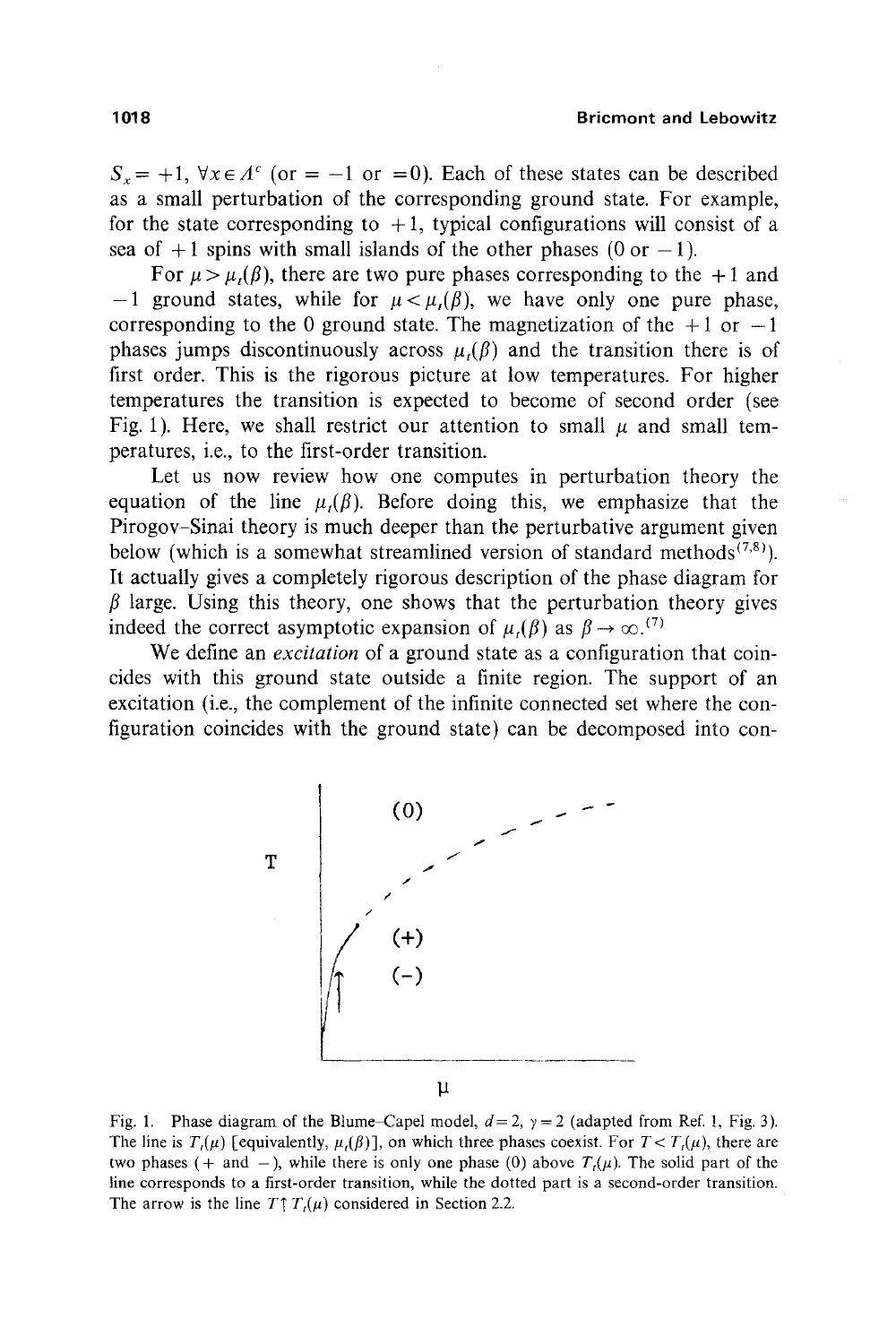$S_r = +1$ ,  $\forall x \in A^c$  (or = -1 or =0). Each of these states can be described as a small perturbation of the corresponding ground state. For example, for the state corresponding to  $+1$ , typical configurations will consist of a sea of  $+1$  spins with small islands of the other phases (0 or  $-1$ ).

For  $\mu > \mu$ ,( $\beta$ ), there are two pure phases corresponding to the +1 and  $-1$  ground states, while for  $\mu < \mu(\beta)$ , we have only one pure phase, corresponding to the 0 ground state. The magnetization of the  $+1$  or  $-1$ phases jumps discontinuously across  $\mu(\beta)$  and the transition there is of first order. This is the rigorous picture at low temperatures. For higher temperatures the transition is expected to become of second order (see Fig. 1). Here, we shall restrict our attention to small  $\mu$  and small temperatures, i.e., to the first-order transition.

Let us now review how one computes in perturbation theory the equation of the line  $\mu(\beta)$ . Before doing this, we emphasize that the Pirogov-Sinai theory is much deeper than the perturbative argument given below (which is a somewhat streamlined version of standard methods<sup> $(7,8)$ </sup>). It actually gives a completely rigorous description of the phase diagram for  $\beta$  large. Using this theory, one shows that the perturbation theory gives indeed the correct asymptotic expansion of  $\mu$ , $(\beta)$  as  $\beta \rightarrow \infty$ .<sup>(7)</sup>

We define an *excitation* of a ground state as a configuration that coincides with this ground state outside a finite region. The support of an excitation (i.e., the complement of the infinite connected set where the configuration coincides with the ground state) can be decomposed into con-



Fig. 1. Phase diagram of the Blume-Capel model,  $d = 2$ ,  $\gamma = 2$  (adapted from Ref. 1, Fig. 3). The line is  $T_t(\mu)$  [equivalently,  $\mu_t(\beta)$ ], on which three phases coexist. For  $T < T_t(\mu)$ , there are two phases (+ and -), while there is only one phase (0) above  $T<sub>i</sub>(\mu)$ . The solid part of the line corresponds to a first-order transition, while the dotted part is a second-order transition. The arrow is the line  $T \uparrow T_t(\mu)$  considered in Section 2.2.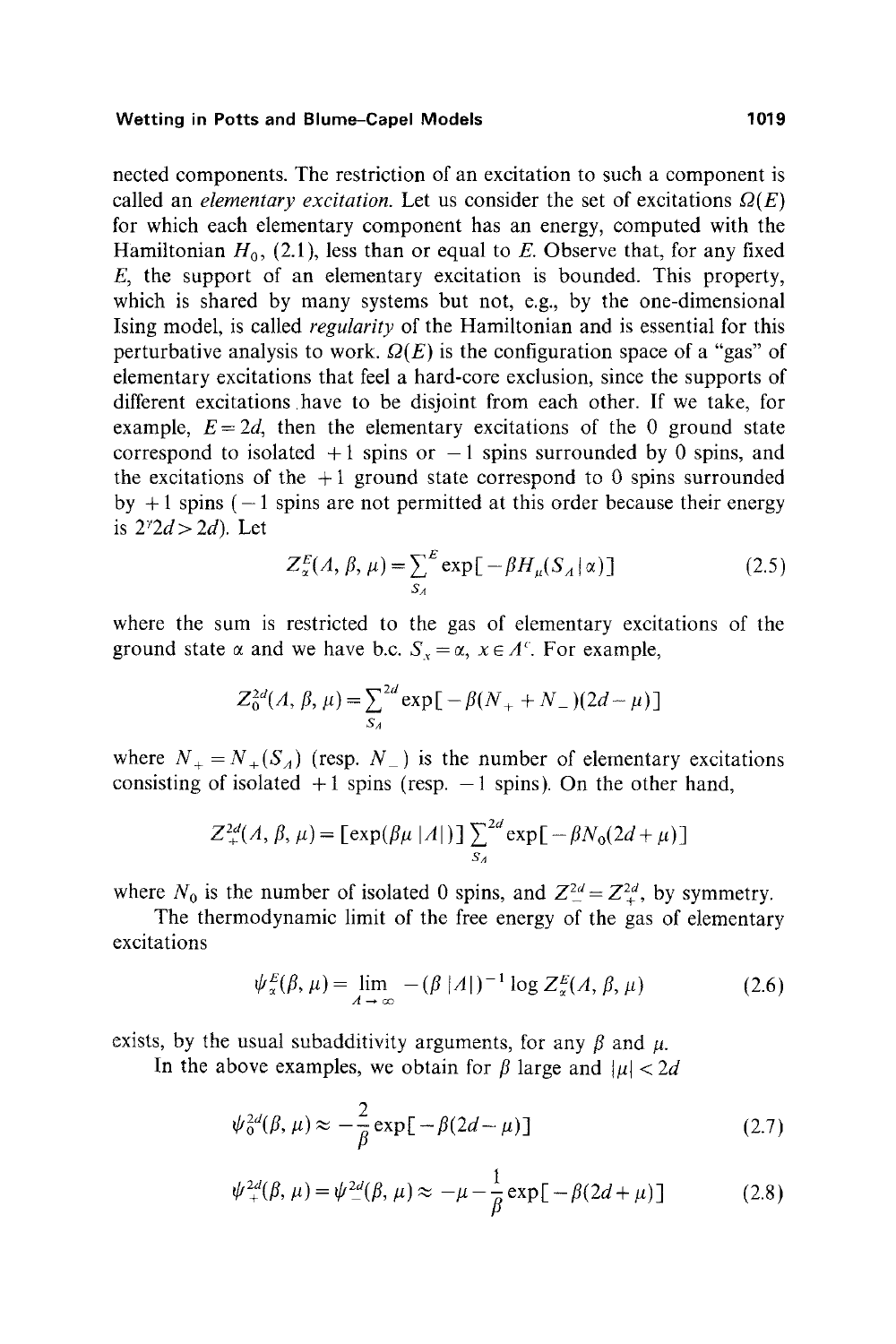nected components. The restriction of an excitation to such a component is called an *elementary excitation*. Let us consider the set of excitations  $\Omega(E)$ for which each elementary component has an energy, computed with the Hamiltonian  $H_0$ , (2.1), less than or equal to E. Observe that, for any fixed  $E$ , the support of an elementary excitation is bounded. This property, which is shared by many systems but not, e.g., by the one-dimensional Ising model, is called *regularity* of the Hamiltonian and is essential for this perturbative analysis to work.  $Q(E)$  is the configuration space of a "gas" of elementary excitations that feel a hard-core exclusion, since the supports of different excitations have to be disjoint from each other. If we take, for example,  $E=2d$ , then the elementary excitations of the 0 ground state correspond to isolated  $+1$  spins or  $-1$  spins surrounded by 0 spins, and the excitations of the  $+1$  ground state correspond to 0 spins surrounded by  $+1$  spins ( $-1$  spins are not permitted at this order because their energy is  $2^{\nu}2d > 2d$ ). Let

$$
Z_{\alpha}^{E}(A, \beta, \mu) = \sum_{S_A}^{E} \exp[-\beta H_{\mu}(S_A|\alpha)] \qquad (2.5)
$$

where the sum is restricted to the gas of elementary excitations of the ground state  $\alpha$  and we have b.c.  $S_x = \alpha$ ,  $x \in A^c$ . For example,

$$
Z_0^{2d}(A, \beta, \mu) = \sum_{S_A}^{2d} \exp[-\beta(N_+ + N_-)(2d - \mu)]
$$

where  $N_{+} = N_{+}(S_A)$  (resp.  $N_{-}$ ) is the number of elementary excitations consisting of isolated  $+1$  spins (resp.  $-1$  spins). On the other hand,

$$
Z_{+}^{2d}(A, \beta, \mu) = \left[\exp(\beta \mu |A|)\right] \sum_{S_A}^{2d} \exp\left[-\beta N_0(2d+\mu)\right]
$$

where  $N_0$  is the number of isolated 0 spins, and  $Z_{-}^{2d} = Z_{+}^{2d}$ , by symmetry.

The thermodynamic limit of the free energy of the gas of elementary excitations

$$
\psi_{\alpha}^{E}(\beta,\mu) = \lim_{\Lambda \to \infty} -(\beta |\Lambda|)^{-1} \log Z_{\alpha}^{E}(\Lambda,\beta,\mu) \tag{2.6}
$$

exists, by the usual subadditivity arguments, for any  $\beta$  and  $\mu$ .

In the above examples, we obtain for  $\beta$  large and  $|u| < 2d$ 

$$
\psi_0^{2d}(\beta,\mu) \approx -\frac{2}{\beta} \exp[-\beta(2d-\mu)]
$$
\n(2.7)

$$
\psi_{+}^{2d}(\beta,\mu) = \psi_{-}^{2d}(\beta,\mu) \approx -\mu - \frac{1}{\beta} \exp[-\beta(2d+\mu)]
$$
 (2.8)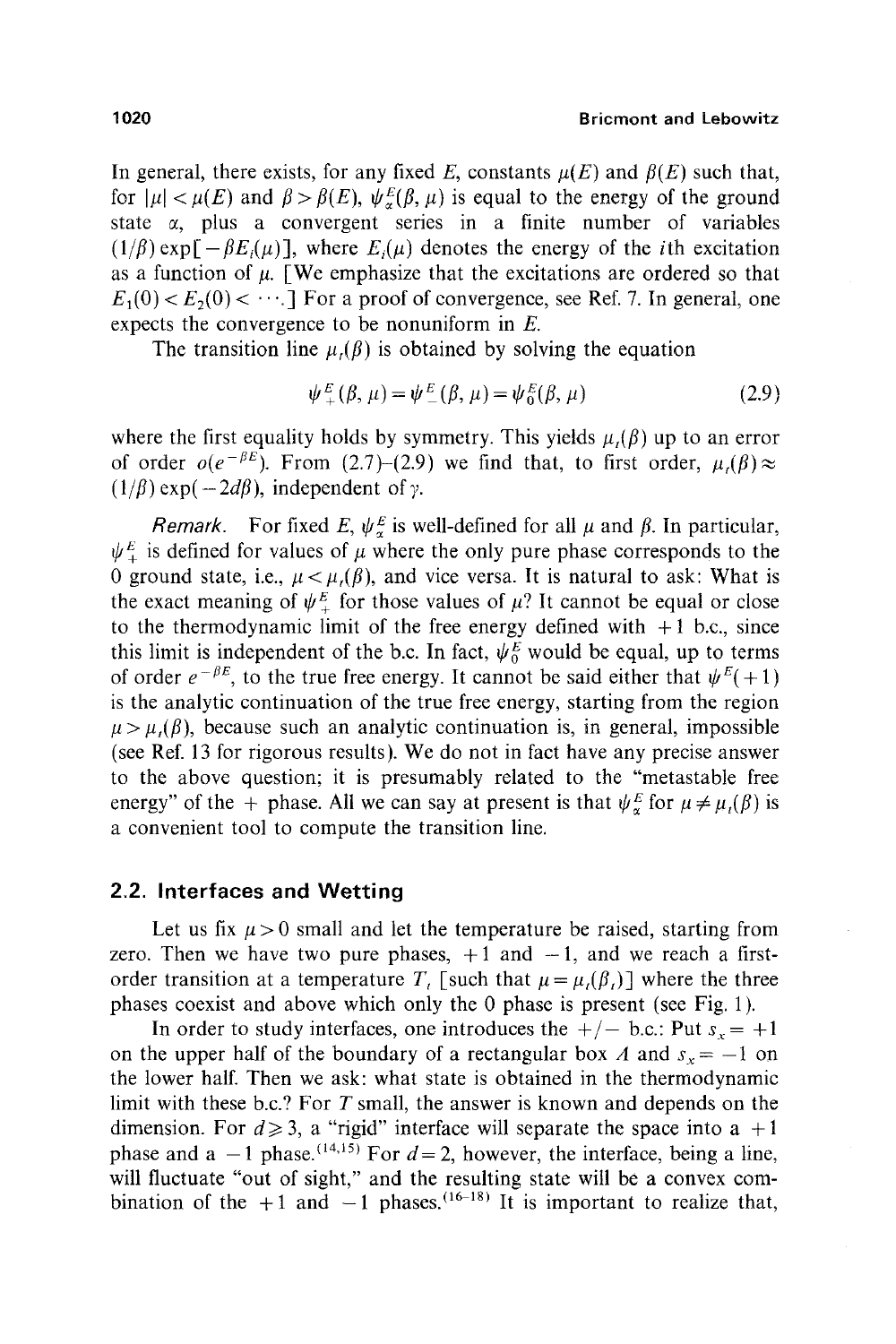#### 1020 Bricmont **and Lebowitz**

In general, there exists, for any fixed E, constants  $\mu(E)$  and  $\beta(E)$  such that, for  $|\mu| < \mu(E)$  and  $\beta > \beta(E)$ ,  $\psi_{\alpha}^{E}(\beta, \mu)$  is equal to the energy of the ground state  $\alpha$ , plus a convergent series in a finite number of variables  $(1/\beta)$  exp  $[-\beta E_i(\mu)]$ , where  $E_i(\mu)$  denotes the energy of the *i*th excitation as a function of  $\mu$ . [We emphasize that the excitations are ordered so that  $E_1(0) < E_2(0) < \cdots$ . For a proof of convergence, see Ref. 7. In general, one expects the convergence to be nonuniform in  $E$ .

The transition line  $\mu$ ,( $\beta$ ) is obtained by solving the equation

$$
\psi_{+}^{E}(\beta, \mu) = \psi_{-}^{E}(\beta, \mu) = \psi_{0}^{E}(\beta, \mu)
$$
\n(2.9)

where the first equality holds by symmetry. This yields  $\mu_i(\beta)$  up to an error of order  $o(e^{-\beta E})$ . From (2.7)-(2.9) we find that, to first order,  $\mu_1(\beta) \approx$  $(1/\beta)$  exp( $-2d\beta$ ), independent of  $\gamma$ .

*Remark.* For fixed E,  $\psi_{\alpha}^{E}$  is well-defined for all  $\mu$  and  $\beta$ . In particular,  $\psi_{\perp}^{E}$  is defined for values of  $\mu$  where the only pure phase corresponds to the 0 ground state, i.e.,  $\mu < \mu$ . (*β*), and vice versa. It is natural to ask: What is the exact meaning of  $\psi_{+}^{E}$  for those values of  $\mu$ ? It cannot be equal or close to the thermodynamic limit of the free energy defined with  $+1$  b.c., since this limit is independent of the b.c. In fact,  $\psi_0^E$  would be equal, up to terms of order  $e^{-\beta E}$ , to the true free energy. It cannot be said either that  $\psi^{E}(+1)$ is the analytic continuation of the true free energy, starting from the region  $\mu > \mu$ ,( $\beta$ ), because such an analytic continuation is, in general, impossible (see Ref. 13 for rigorous results). We do not in fact have any precise answer to the above question; it is presumably related to the "metastable free energy" of the + phase. All we can say at present is that  $\psi_{\alpha}^{E}$  for  $\mu \neq \mu_{i}(\beta)$  is a convenient tool to compute the transition line.

#### **2.2. Interfaces and Wetting**

Let us fix  $\mu > 0$  small and let the temperature be raised, starting from zero. Then we have two pure phases,  $+1$  and  $-1$ , and we reach a firstorder transition at a temperature T, [such that  $\mu = \mu_i(\beta_i)$ ] where the three phases coexist and above which only the 0 phase is present (see Fig. 1).

In order to study interfaces, one introduces the  $+/-$  b.c.: Put  $s_x = +1$ on the upper half of the boundary of a rectangular box A and  $s_x = -1$  on the lower half. Then we ask: what state is obtained in the thermodynamic limit with these b.c.? For T small, the answer is known and depends on the dimension. For  $d \ge 3$ , a "rigid" interface will separate the space into a +1 phase and a  $-1$  phase.<sup>(14,15)</sup> For  $d=2$ , however, the interface, being a line, will fluctuate "out of sight," and the resulting state will be a convex combination of the +1 and  $-1$  phases.<sup>(16-18)</sup> It is important to realize that,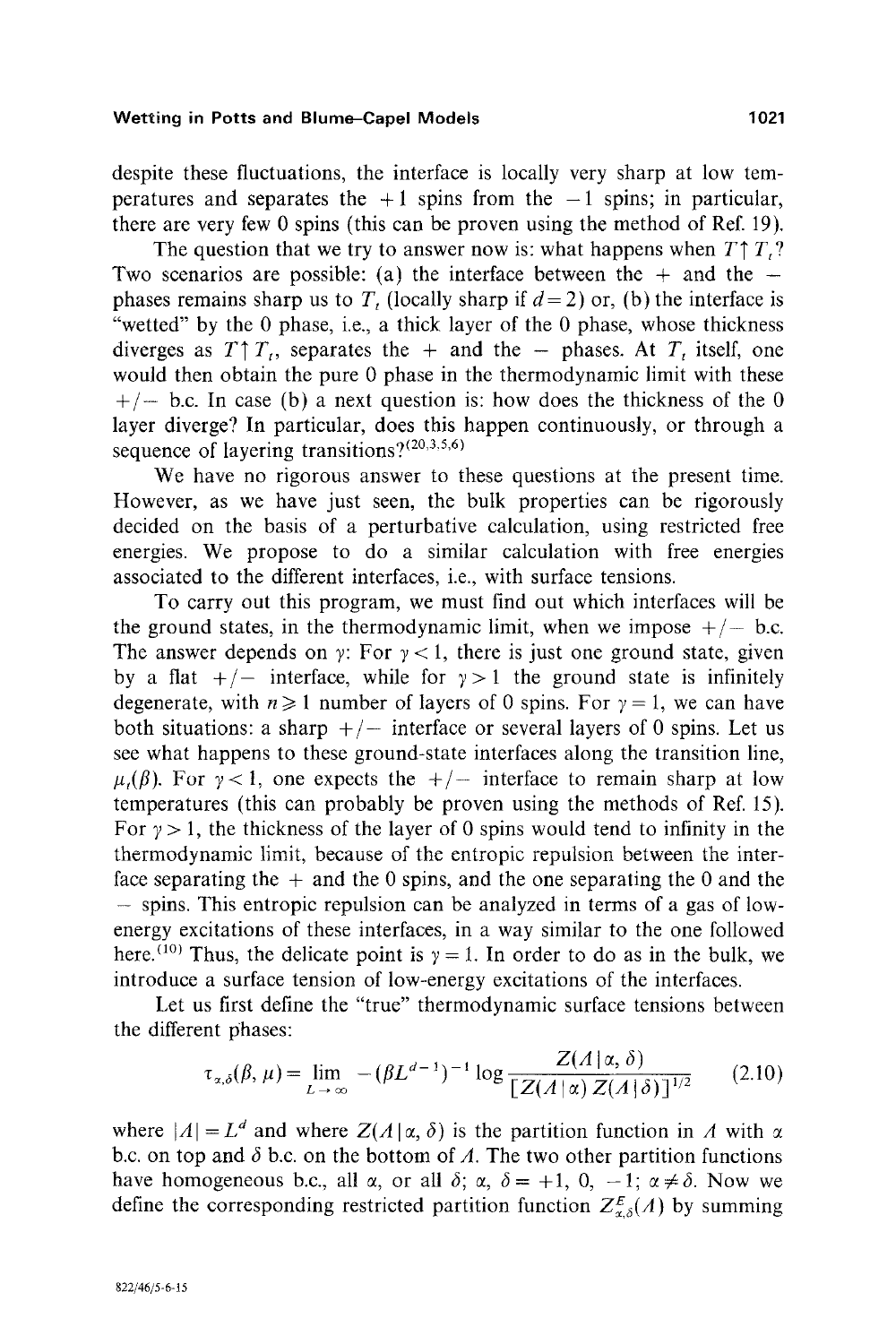despite these fluctuations, the interface is locally very sharp at low temperatures and separates the  $+1$  spins from the  $-1$  spins; in particular, there are very few 0 spins (this can be proven using the method of Ref. 19).

The question that we try to answer now is: what happens when  $T \uparrow T$ ? Two scenarios are possible: (a) the interface between the  $+$  and the  $$ phases remains sharp us to T, (locally sharp if  $d=2$ ) or, (b) the interface is "wetted" by the 0 phase, i.e., a thick layer of the 0 phase, whose thickness diverges as  $T \uparrow T_t$ , separates the + and the - phases. At  $T_t$  itself, one would then obtain the pure 0 phase in the thermodynamic limit with these  $+/-$  b.c. In case (b) a next question is: how does the thickness of the 0 layer diverge? In particular, does this happen continuously, or through a sequence of layering transitions? $(20,3,5,6)$ 

We have no rigorous answer to these questions at the present time. However, as we have just seen, the bulk properties can be rigorously decided on the basis of a perturbative calculation, using restricted free energies. We propose to do a similar calculation with free energies associated to the different interfaces, i.e., with surface tensions.

To carry out this program, we must find out which interfaces will be the ground states, in the thermodynamic limit, when we impose  $+/-$  b.c. The answer depends on y: For  $y < 1$ , there is just one ground state, given by a flat  $+/-$  interface, while for  $y > 1$  the ground state is infinitely degenerate, with  $n \ge 1$  number of layers of 0 spins. For  $\gamma = 1$ , we can have both situations: a sharp  $+/-$  interface or several layers of 0 spins. Let us see what happens to these ground-state interfaces along the transition line,  $\mu(\beta)$ . For  $\gamma < 1$ , one expects the  $+/-$  interface to remain sharp at low temperatures (this can probably be proven using the methods of Ref. 15). For  $y > 1$ , the thickness of the layer of 0 spins would tend to infinity in the thermodynamic limit, because of the entropic repulsion between the interface separating the  $+$  and the 0 spins, and the one separating the 0 and the **-** spins. This entropic repulsion can be analyzed in terms of a gas of lowenergy excitations of these interfaces, in a way similar to the one followed here.<sup>(10)</sup> Thus, the delicate point is  $\gamma = 1$ . In order to do as in the bulk, we introduce a surface tension of low-energy excitations of the interfaces.

Let us first define the "true" thermodynamic surface tensions between the different phases:

$$
\tau_{\alpha,\delta}(\beta,\mu) = \lim_{L \to \infty} -(\beta L^{d-1})^{-1} \log \frac{Z(A \mid \alpha,\delta)}{[Z(A \mid \alpha) Z(A \mid \delta)]^{1/2}} \qquad (2.10)
$$

where  $|A| = L^d$  and where  $Z(A | \alpha, \delta)$  is the partition function in A with  $\alpha$ b.c. on top and  $\delta$  b.c. on the bottom of A. The two other partition functions have homogeneous b.c., all  $\alpha$ , or all  $\delta$ ;  $\alpha$ ,  $\delta = +1$ , 0,  $-1$ ;  $\alpha \neq \delta$ . Now we define the corresponding restricted partition function  $Z_{\alpha,\delta}^E(A)$  by summing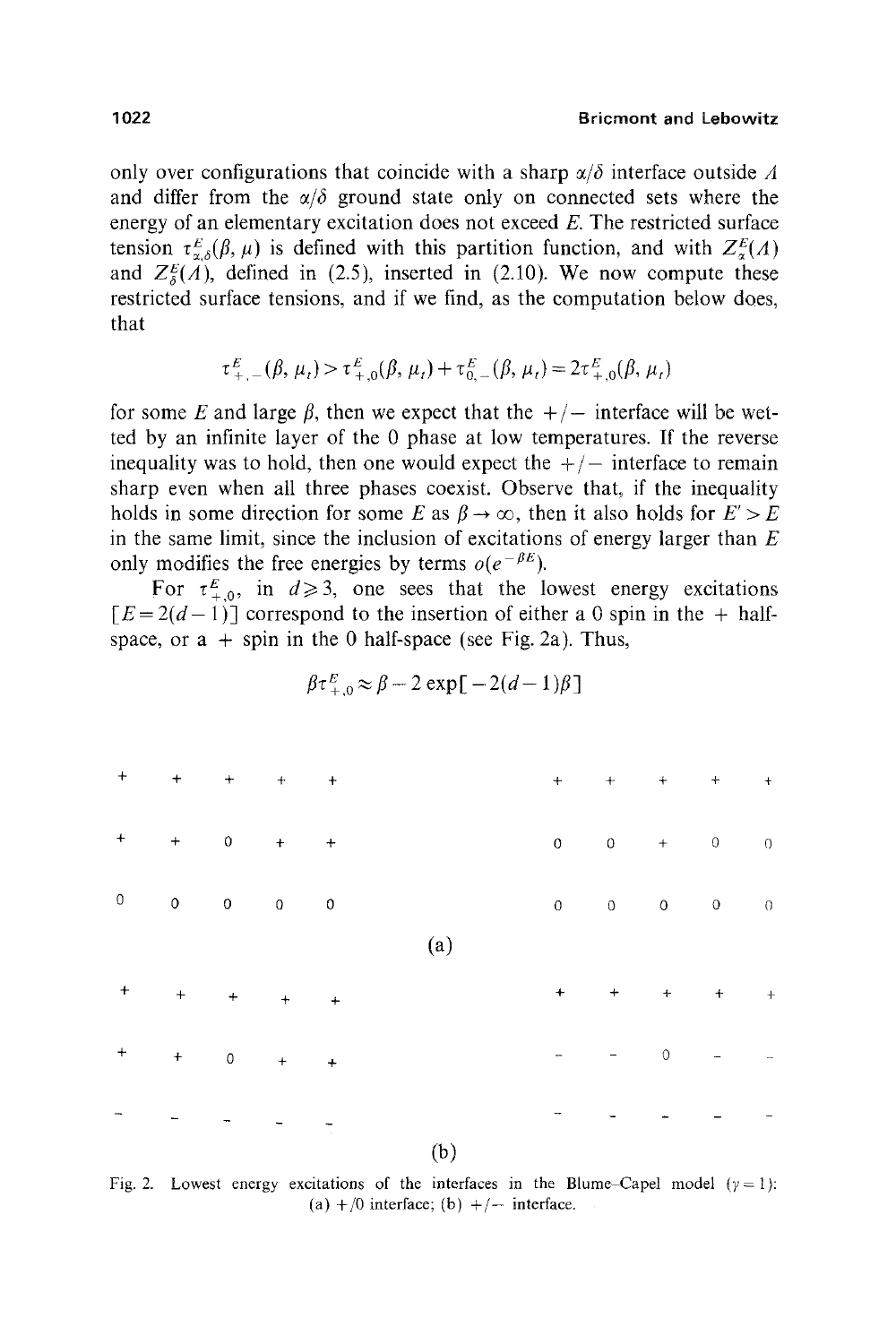only over configurations that coincide with a sharp  $\alpha/\delta$  interface outside A and differ from the  $\alpha/\delta$  ground state only on connected sets where the energy of an elementary excitation does not exceed E. The restricted surface tension  $\tau_{\alpha\delta}^E(\beta, \mu)$  is defined with this partition function, and with  $Z_{\alpha}^E(\Lambda)$ and  $Z_{\delta}^{E}(A)$ , defined in (2.5), inserted in (2.10). We now compute these restricted surface tensions, and if we find, as the computation below does, that

$$
\tau_{+,-}^{E}(\beta, \mu_{t}) > \tau_{+,0}^{E}(\beta, \mu_{t}) + \tau_{0,-}^{E}(\beta, \mu_{t}) = 2\tau_{+,0}^{E}(\beta, \mu_{t})
$$

for some E and large  $\beta$ , then we expect that the  $+/-$  interface will be wetted by an infinite layer of the 0 phase at low temperatures. If the reverse inequality was to hold, then one would expect the  $+/-$  interface to remain sharp even when all three phases coexist. Observe that, if the inequality holds in some direction for some E as  $\beta \to \infty$ , then it also holds for  $E' > E$ in the same limit, since the inclusion of excitations of energy larger than  $E$ only modifies the free energies by terms  $o(e^{-\beta E})$ .

For  $\tau_{+0}^E$ , in  $d \ge 3$ , one sees that the lowest energy excitations  $[E=2(d-1)]$  correspond to the insertion of either a 0 spin in the + halfspace, or  $a +$  spin in the 0 half-space (see Fig. 2a). Thus,

$$
\beta \tau_{+,0}^E \approx \beta - 2 \exp[-2(d-1)\beta]
$$

|                               | $+$ $+$ $+$ $+$ $+$ $+$                                                          |                          |         |     |                   | $+$ $+$ $+$ $+$ $+$ $+$                            |                     |                             |
|-------------------------------|----------------------------------------------------------------------------------|--------------------------|---------|-----|-------------------|----------------------------------------------------|---------------------|-----------------------------|
| $\textcolor{red}{\textbf{+}}$ | $+$ 0 $+$ $+$                                                                    |                          |         |     |                   | $\begin{matrix} 0 & 0 & + & 0 \end{matrix}$        |                     | $\overline{0}$              |
| $\circ$                       | $\begin{matrix} 0 & 0 & 0 \end{matrix} \qquad \begin{matrix} 0 & 0 \end{matrix}$ |                          |         |     | $0 \qquad \qquad$ | $\begin{array}{ccccccccc} 0 && 0 && 0 \end{array}$ |                     | $\sim 0$                    |
|                               |                                                                                  |                          |         | (a) |                   |                                                    |                     |                             |
| $+$                           | $+$ $+$                                                                          |                          | $+$ $+$ |     |                   |                                                    |                     |                             |
| $\ddot{}$                     | $+$ 0                                                                            |                          | $+$ $+$ |     |                   | $\circ$                                            | $\omega_{\rm{max}}$ | $\mathcal{L}_{\mathcal{A}}$ |
|                               |                                                                                  | $\overline{\phantom{a}}$ |         |     |                   |                                                    |                     |                             |
|                               |                                                                                  |                          |         | (b) |                   |                                                    |                     |                             |

Fig. 2. Lowest energy excitations of the interfaces in the Blume-Capel model  $(\gamma = 1)$ : (a)  $+/0$  interface; (b)  $+/-$  interface.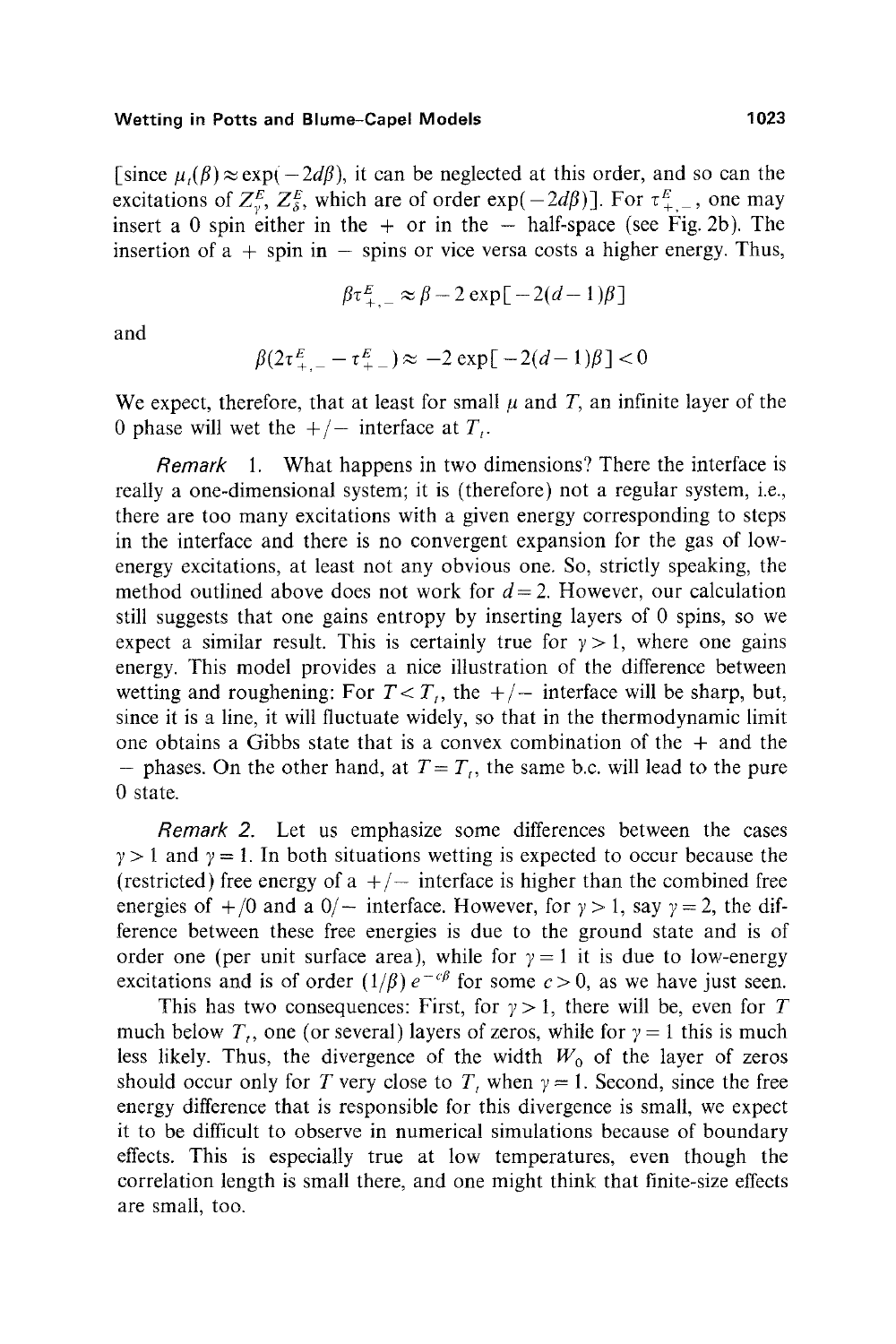[since  $\mu_t(\beta) \approx \exp(-2d\beta)$ , it can be neglected at this order, and so can the excitations of  $Z_3^E$ ,  $Z_3^E$ , which are of order exp( $-2d\beta$ )]. For  $\tau_{+-}^E$ , one may insert a 0 spin either in the  $+$  or in the  $-$  half-space (see Fig. 2b). The insertion of  $a + spin in - spins$  or vice versa costs a higher energy. Thus,

$$
\beta \tau_{\pm}^{E} \approx \beta - 2 \exp[-2(d-1)\beta]
$$

and

$$
\beta(2\tau_{+-}^E - \tau_{+-}^E) \approx -2 \exp[-2(d-1)\beta] < 0
$$

We expect, therefore, that at least for small  $\mu$  and  $T$ , an infinite layer of the 0 phase will wet the  $+/-$  interface at  $T<sub>i</sub>$ .

*Remark* l. What happens in two dimensions? There the interface is really a one-dimensional system; it is (therefore) not a regular system, i.e., there are too many excitations with a given energy corresponding to steps in the interface and there is no convergent expansion for the gas of lowenergy excitations, at least not any obvious one. So, strictly speaking, the method outlined above does not work for  $d=2$ . However, our calculation still suggests that one gains entropy by inserting layers of 0 spins, so we expect a similar result. This is certainly true for  $y > 1$ , where one gains energy. This model provides a nice illustration of the difference between wetting and roughening: For  $T < T_t$ , the  $+/-$  interface will be sharp, but, since it is a line, it will fluctuate widely, so that in the thermodynamic limit one obtains a Gibbs state that is a convex combination of the  $+$  and the - phases. On the other hand, at  $T = T_i$ , the same b.c. will lead to the pure O state.

*Remark 2.* Let us emphasize some differences between the cases  $y > 1$  and  $y = 1$ . In both situations wetting is expected to occur because the (restricted) free energy of a  $+/-$  interface is higher than the combined free energies of  $+/0$  and a  $0/-$  interface. However, for  $\gamma > 1$ , say  $\gamma = 2$ , the difference between these free energies is due to the ground state and is of order one (per unit surface area), while for  $y = 1$  it is due to low-energy excitations and is of order  $(1/\beta)e^{-c\beta}$  for some  $c>0$ , as we have just seen.

This has two consequences: First, for  $\gamma > 1$ , there will be, even for T much below  $T_t$ , one (or several) layers of zeros, while for  $\gamma = 1$  this is much less likely. Thus, the divergence of the width  $W_0$  of the layer of zeros should occur only for T very close to T, when  $\gamma = 1$ . Second, since the free energy difference that is responsible for this divergence is small, we expect it to be difficult to observe in numerical simulations because of boundary effects. This is especially true at low temperatures, even though the correlation length is small there, and one might think that finite-size effects are small, too.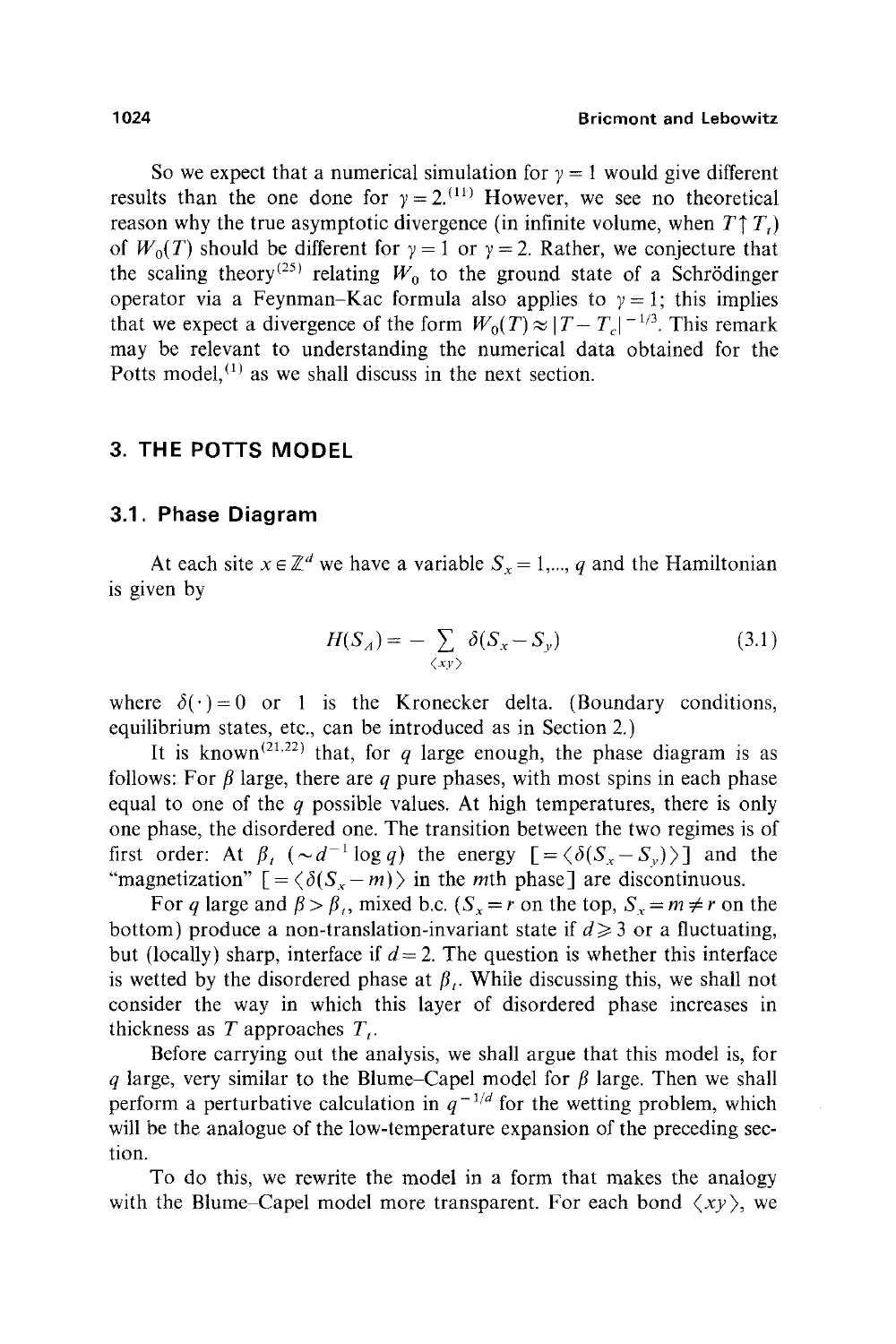So we expect that a numerical simulation for  $\gamma = 1$  would give different results than the one done for  $\gamma = 2$ .<sup>(11)</sup> However, we see no theoretical reason why the true asymptotic divergence (in infinite volume, when  $T \uparrow T$ .) of  $W_0(T)$  should be different for  $y = 1$  or  $y = 2$ . Rather, we conjecture that the scaling theory<sup>(25)</sup> relating  $W_0$  to the ground state of a Schrödinger operator via a Feynman-Kac formula also applies to  $\gamma = 1$ ; this implies that we expect a divergence of the form  $W_0(T) \approx |T - T_c|^{-1/3}$ . This remark may be relevant to understanding the numerical data obtained for the Potts model,  $(1)$  as we shall discuss in the next section.

# **3. THE POTTS MODEL**

# **3.1. Phase Diagram**

At each site  $x \in \mathbb{Z}^d$  we have a variable  $S_x = 1, ..., q$  and the Hamiltonian is given by

$$
H(S_A) = -\sum_{\langle xy \rangle} \delta(S_x - S_y) \tag{3.1}
$$

where  $\delta(\cdot)=0$  or 1 is the Kronecker delta. (Boundary conditions, equilibrium states, etc., can be introduced as in Section 2.)

It is known<sup>(21,22)</sup> that, for q large enough, the phase diagram is as follows: For  $\beta$  large, there are q pure phases, with most spins in each phase equal to one of the  $q$  possible values. At high temperatures, there is only one phase, the disordered one. The transition between the two regimes is of first order: At  $\beta_t$  ( $\sim d^{-1} \log q$ ) the energy  $\lceil = \langle \delta(S_x-S_y) \rangle \rceil$  and the "magnetization"  $\lceil = \langle \delta(S_{x} - m) \rangle$  in the *m*th phase] are discontinuous.

For q large and  $\beta > \beta_i$ , mixed b.c.  $(S_x = r$  on the top,  $S_x = m \neq r$  on the bottom) produce a non-translation-invariant state if  $d \geq 3$  or a fluctuating, but (locally) sharp, interface if  $d = 2$ . The question is whether this interface is wetted by the disordered phase at  $\beta$ . While discussing this, we shall not consider the way in which this layer of disordered phase increases in thickness as  $T$  approaches  $T_t$ .

Before carrying out the analysis, we shall argue that this model is, for q large, very similar to the Blume-Capel model for  $\beta$  large. Then we shall perform a perturbative calculation in  $q^{-1/d}$  for the wetting problem, which will be the analogue of the low-temperature expansion of the preceding section.

To do this, we rewrite the model in a form that makes the analogy with the Blume–Capel model more transparent. For each bond  $\langle xy \rangle$ , we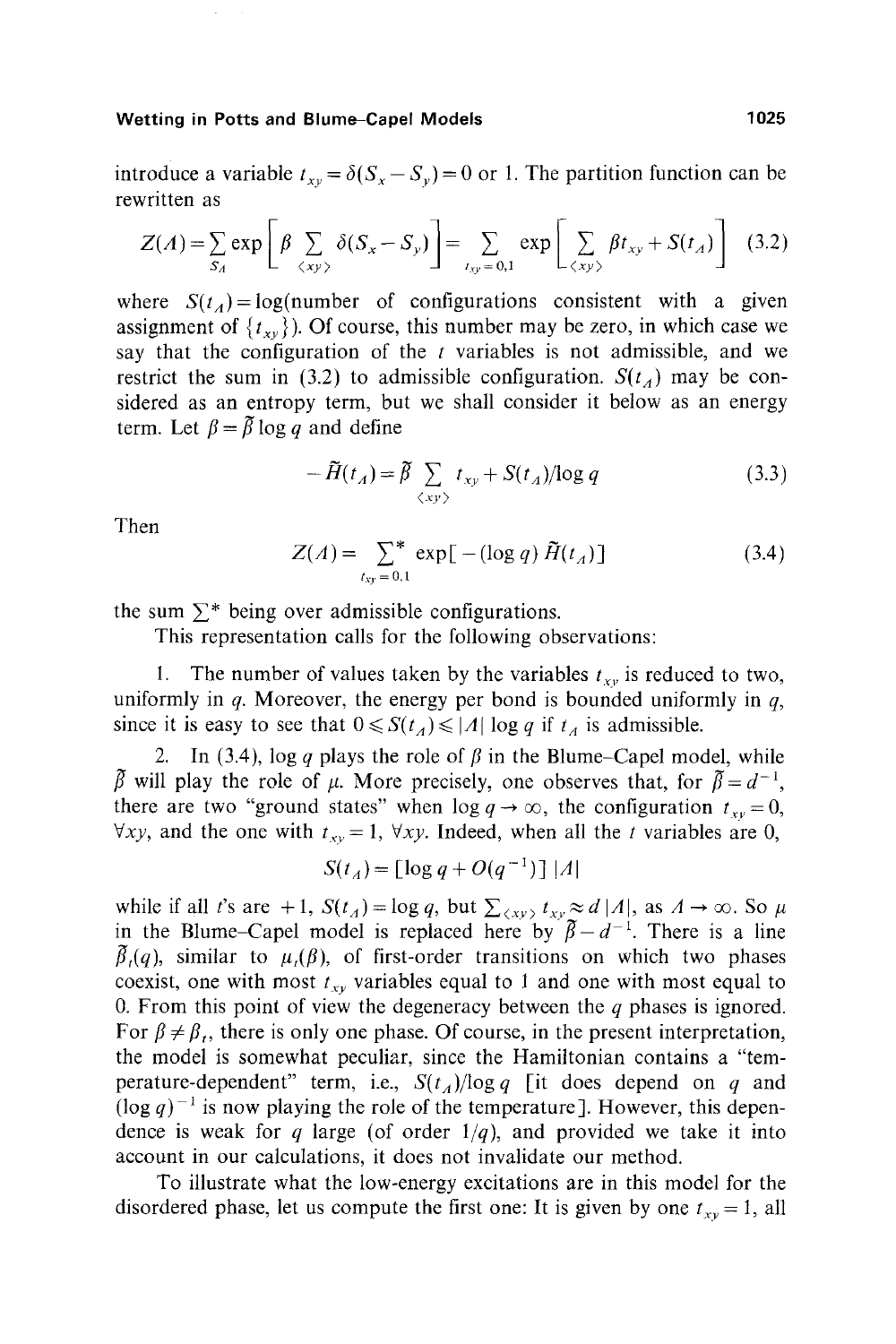introduce a variable  $t_{xy} = \delta(S_x - S_y) = 0$  or 1. The partition function can be rewritten as

$$
Z(A) = \sum_{S_A} \exp\left[\beta \sum_{\langle xy \rangle} \delta(S_x - S_y)\right] = \sum_{t_{xy} = 0,1} \exp\left[\sum_{\langle xy \rangle} \beta t_{xy} + S(t_A)\right]
$$
(3.2)

where  $S(t_A) = log$ (number of configurations consistent with a given assignment of  $\{t_{xy}\}\)$ . Of course, this number may be zero, in which case we say that the configuration of the  $t$  variables is not admissible, and we restrict the sum in (3.2) to admissible configuration.  $S(t_A)$  may be considered as an entropy term, but we shall consider it below as an energy term. Let  $\beta = \tilde{\beta} \log q$  and define

$$
-\widetilde{H}(t_A) = \widetilde{\beta} \sum_{\langle xy \rangle} t_{xy} + S(t_A) / \log q \tag{3.3}
$$

Then

$$
Z(\Lambda) = \sum_{t_{xy}=0,1}^* \exp\left[-(\log q)\,\tilde{H}(t_{\Lambda})\right] \tag{3.4}
$$

the sum  $\Sigma^*$  being over admissible configurations.

This representation calls for the following observations:

1. The number of values taken by the variables  $t_{xy}$  is reduced to two, uniformly in  $q$ . Moreover, the energy per bond is bounded uniformly in  $q$ , since it is easy to see that  $0 \le S(t_A) \le |A| \log q$  if  $t_A$  is admissible.

2. In (3.4), log q plays the role of  $\beta$  in the Blume-Capel model, while  $\tilde{\beta}$  will play the role of  $\mu$ . More precisely, one observes that, for  $\tilde{\beta} = d^{-1}$ , there are two "ground states" when  $\log q \to \infty$ , the configuration  $t_{xy} = 0$ ,  $\forall xy$ , and the one with  $t_{xy} = 1$ ,  $\forall xy$ . Indeed, when all the t variables are 0,

$$
S(t_A) = \left[\log q + O(q^{-1})\right]|A|
$$

while if all t's are +1,  $S(t_A) = \log q$ , but  $\sum_{\langle xy \rangle} t_{xy} \approx d|A|$ , as  $A \to \infty$ . So  $\mu$ in the Blume-Capel model is replaced here by  $\tilde{\beta} - d^{-1}$ . There is a line  $\beta_{\iota}(q)$ , similar to  $\mu_{\iota}(\beta)$ , of first-order transitions on which two phases coexist, one with most  $t_{xy}$  variables equal to 1 and one with most equal to 0. From this point of view the degeneracy between the  $q$  phases is ignored. For  $\beta \neq \beta_t$ , there is only one phase. Of course, in the present interpretation, the model is somewhat peculiar, since the Hamiltonian contains a "temperature-dependent" term, i.e.,  $S(t_A)/\log q$  [it does depend on q and  $(\log q)^{-1}$  is now playing the role of the temperature]. However, this dependence is weak for q large (of order  $1/q$ ), and provided we take it into account in our calculations, it does not invalidate our method.

To illustrate what the low-energy excitations are in this model for the disordered phase, let us compute the first one: It is given by one  $t_{xy} = 1$ , all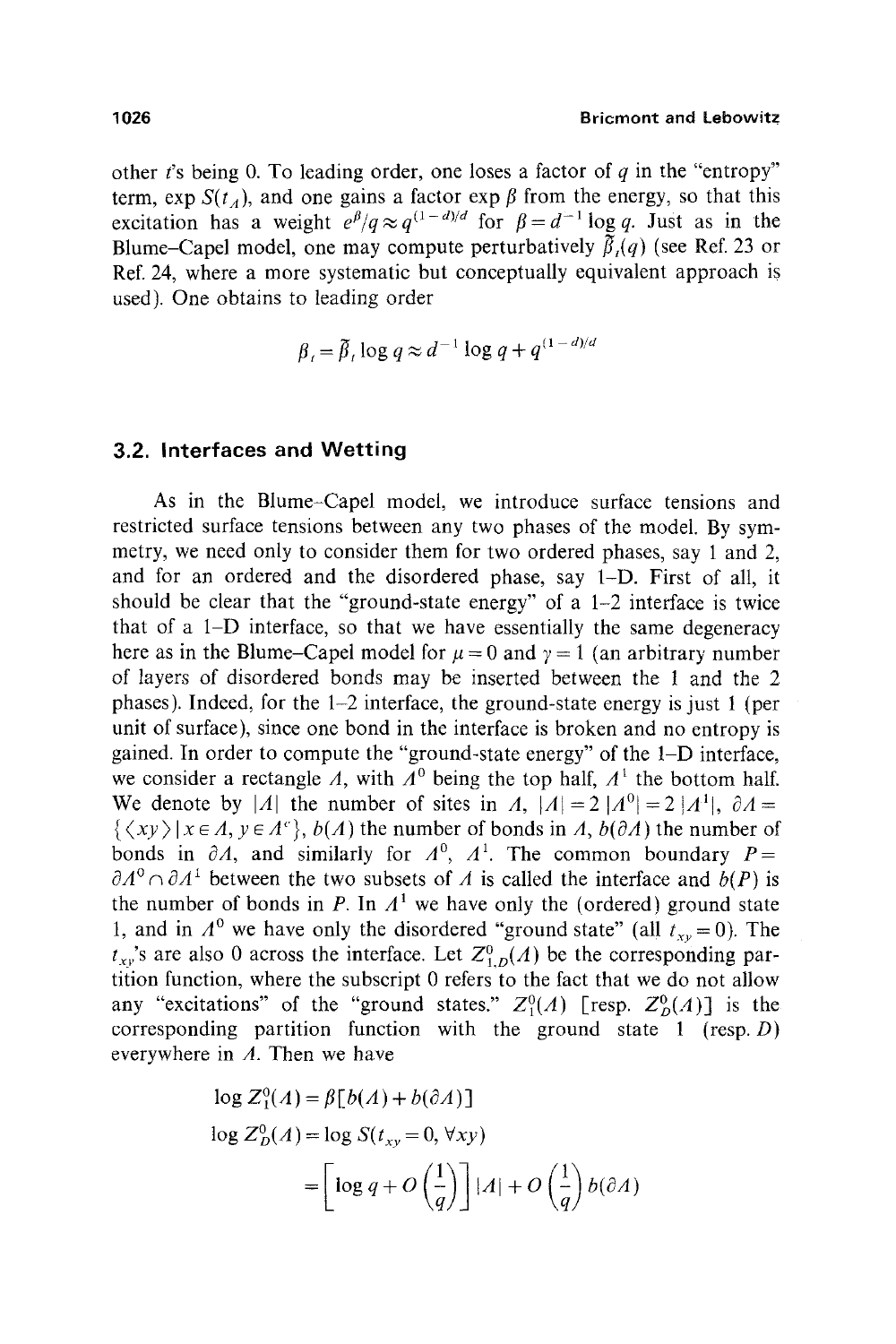other t's being 0. To leading order, one loses a factor of q in the "entropy" term, exp  $S(t_A)$ , and one gains a factor exp  $\beta$  from the energy, so that this excitation has a weight  $e^{\beta}/q \approx q^{(1-d)/d}$  for  $\beta = d^{-1} \log q$ . Just as in the Blume-Capel model, one may compute perturbatively  $\tilde{\beta}_i(q)$  (see Ref. 23 or Ref. 24, where a more systematic but conceptually equivalent approach is used). One obtains to leading order

$$
\beta = \tilde{\beta}, \log q \approx d^{-1} \log q + q^{(1-d)/d}
$$

# **3.2. Interfaces and Wetting**

As in the Blume-Capel model, we introduce surface tensions and restricted surface tensions between any two phases of the model. By symmetry, we need only to consider them for two ordered phases, say 1 and 2, and for an ordered and the disordered phase, say I-D. First of all, it should be clear that the "ground-state energy" of a 1-2 interface is twice that of a 1-D interface, so that we have essentially the same degeneracy here as in the Blume-Capel model for  $\mu = 0$  and  $\gamma = 1$  (an arbitrary number of layers of disordered bonds may be inserted between the 1 and the 2 phases). Indeed, for the 1-2 interface, the ground-state energy is just 1 (per unit of surface), since one bond in the interface is broken and no entropy is gained. In order to compute the "ground-state energy" of the 1-D interface, we consider a rectangle A, with  $A^0$  being the top half,  $A^1$  the bottom half. We denote by |A| the number of sites in A,  $|A| = 2 |A^0| = 2 |A^1|$ ,  $\partial A =$  $\{\langle xy \rangle | x \in A, y \in A^c\}$ ,  $b(A)$  the number of bonds in *A*,  $b(\partial A)$  the number of bonds in  $\partial A$ , and similarly for  $A^0$ ,  $A^1$ . The common boundary  $P=$  $\partial A^0 \cap \partial A^1$  between the two subsets of A is called the interface and  $b(P)$  is the number of bonds in P. In  $A<sup>1</sup>$  we have only the (ordered) ground state 1, and in  $A^0$  we have only the disordered "ground state" (all  $t_{xy} = 0$ ). The  $t_{xy}$ 's are also 0 across the interface. Let  $Z_{1,D}^0(A)$  be the corresponding partition function, where the subscript 0 refers to the fact that we do not allow any "excitations" of the "ground states."  $Z_1^0(A)$  [resp.  $Z_p^0(A)$ ] is the corresponding partition function with the ground state  $1$  (resp. D) everywhere in  $\Lambda$ . Then we have

$$
\log Z_1^0(A) = \beta[b(A) + b(\partial A)]
$$
  

$$
\log Z_D^0(A) = \log S(t_{xy} = 0, \forall xy)
$$
  

$$
= \left[\log q + O\left(\frac{1}{q}\right)\right] |A| + O\left(\frac{1}{q}\right)b(\partial A)
$$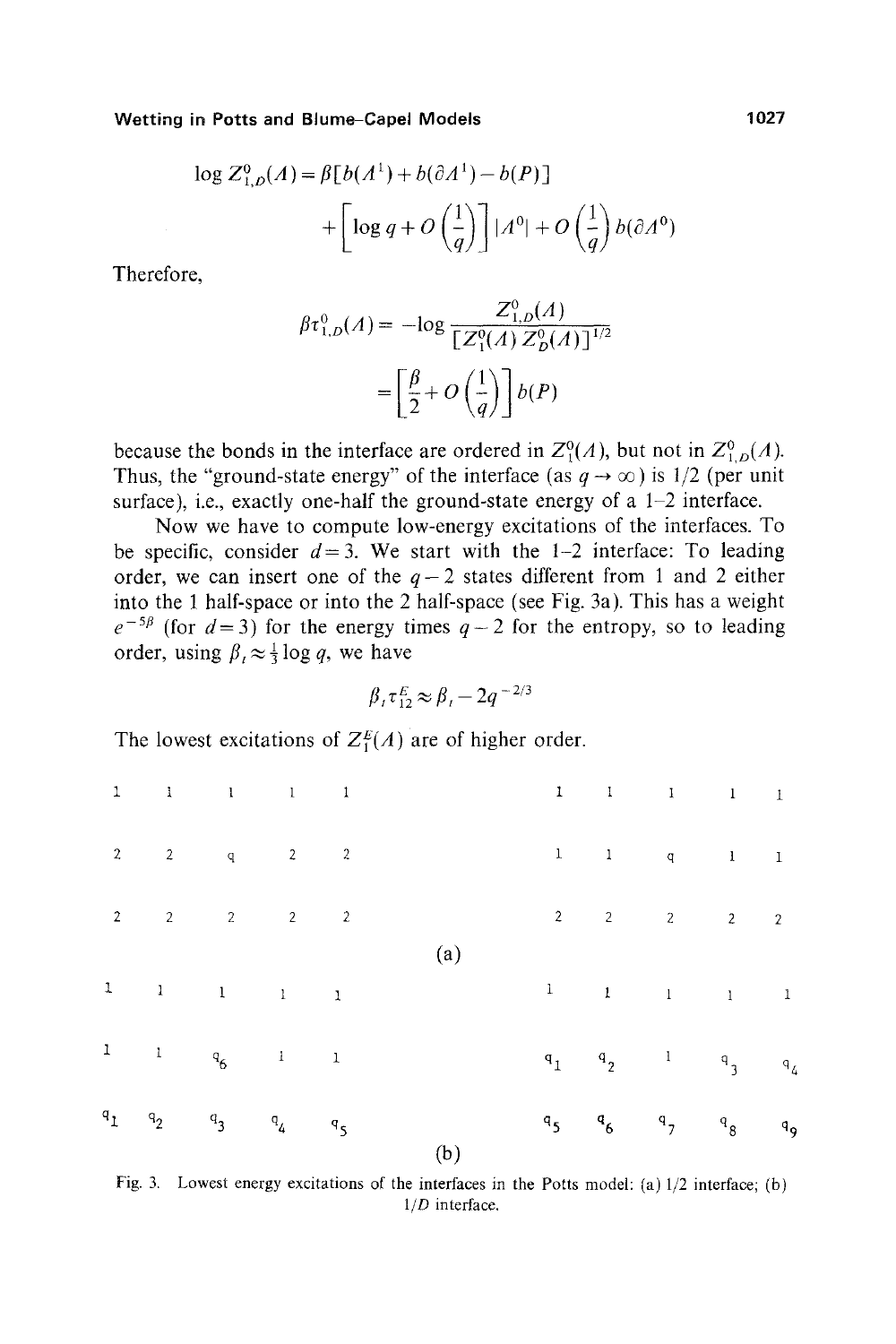$$
\log Z_{1,D}^0(A) = \beta \left[ b(A^1) + b(\partial A^1) - b(P) \right]
$$

$$
+ \left[ \log q + O\left(\frac{1}{q}\right) \right] |A^0| + O\left(\frac{1}{q}\right) b(\partial A^0)
$$

Therefore,

$$
\beta \tau_{1,D}^0(A) = -\log \frac{Z_{1,D}^0(A)}{[Z_1^0(A) Z_D^0(A)]^{1/2}}
$$

$$
= \left[\frac{\beta}{2} + O\left(\frac{1}{q}\right)\right] b(P)
$$

because the bonds in the interface are ordered in  $Z^0(A)$ , but not in  $Z^0_{1,D}(A)$ . Thus, the "ground-state energy" of the interface (as  $q \to \infty$ ) is 1/2 (per unit surface), i.e., exactly one-half the ground-state energy of a  $1-2$  interface.

Now we have to compute low-energy excitations of the interfaces. To be specific, consider  $d = 3$ . We start with the 1-2 interface: To leading order, we can insert one of the  $q-2$  states different from 1 and 2 either into the 1 half-space or into the 2 half-space (see Fig. 3a). This has a weight  $e^{-5\beta}$  (for  $d=3$ ) for the energy times  $q-2$  for the entropy, so to leading order, using  $\beta_t \approx \frac{1}{3} \log q$ , we have

$$
\beta_t \tau_{12}^E \approx \beta_t - 2q^{-2/3}
$$

The lowest excitations of  $Z_1^E(A)$  are of higher order.

|       |                | $\begin{array}{cccccccccccccc} 1 & & 1 & & 1 & & 1 & & 1 \end{array}$        |     |                | $\begin{array}{cccccccccc} 1 & & 1 & & 1 & & 1 & & 1 \end{array}$                                                                                                      |  |
|-------|----------------|------------------------------------------------------------------------------|-----|----------------|------------------------------------------------------------------------------------------------------------------------------------------------------------------------|--|
|       |                | $2$ $2$ $q$ $2$ $2$                                                          |     | $\mathbf{l}$   | $\begin{array}{ccccccccccccc} & & & & & 1 & & & & 1 & & & & 1 \end{array}$                                                                                             |  |
|       |                |                                                                              |     | $2^{\circ}$    | $2$ $2$ $2$ $2$                                                                                                                                                        |  |
|       |                | $\begin{array}{ccccccccccccc} 1 & & & 1 & & & 1 & & & 1 & & & 1 \end{array}$ | (a) |                | $\begin{array}{ccccccccc} 1 & & & & 1 & & & & 1 & & & 1 \end{array}$                                                                                                   |  |
|       |                | $\begin{array}{ccccccccc}\n1 & & 1 & & q_6 & & 1 & & 1\n\end{array}$         |     |                | $\begin{matrix} \mathsf{q}_1 & \mathsf{q}_2 & \mathsf{1} & \mathsf{q}_3 & \mathsf{q}_4 \end{matrix}$                                                                   |  |
| $a_1$ | $\mathbf{q}_2$ | $q_3$ $q_4$ $q_5$                                                            | (b) | $\mathbf{q}_5$ | $\begin{matrix} \mathsf{q} & \mathsf{q} \\ \mathsf{q} & \mathsf{q} \end{matrix} \qquad \begin{matrix} \mathsf{q} & \mathsf{q} \\ \mathsf{q} & \mathsf{q} \end{matrix}$ |  |

Fig. 3. Lowest energy excitations of the interfaces in the Ports model: (a) 1/2 interface; (b) *1/D* interface.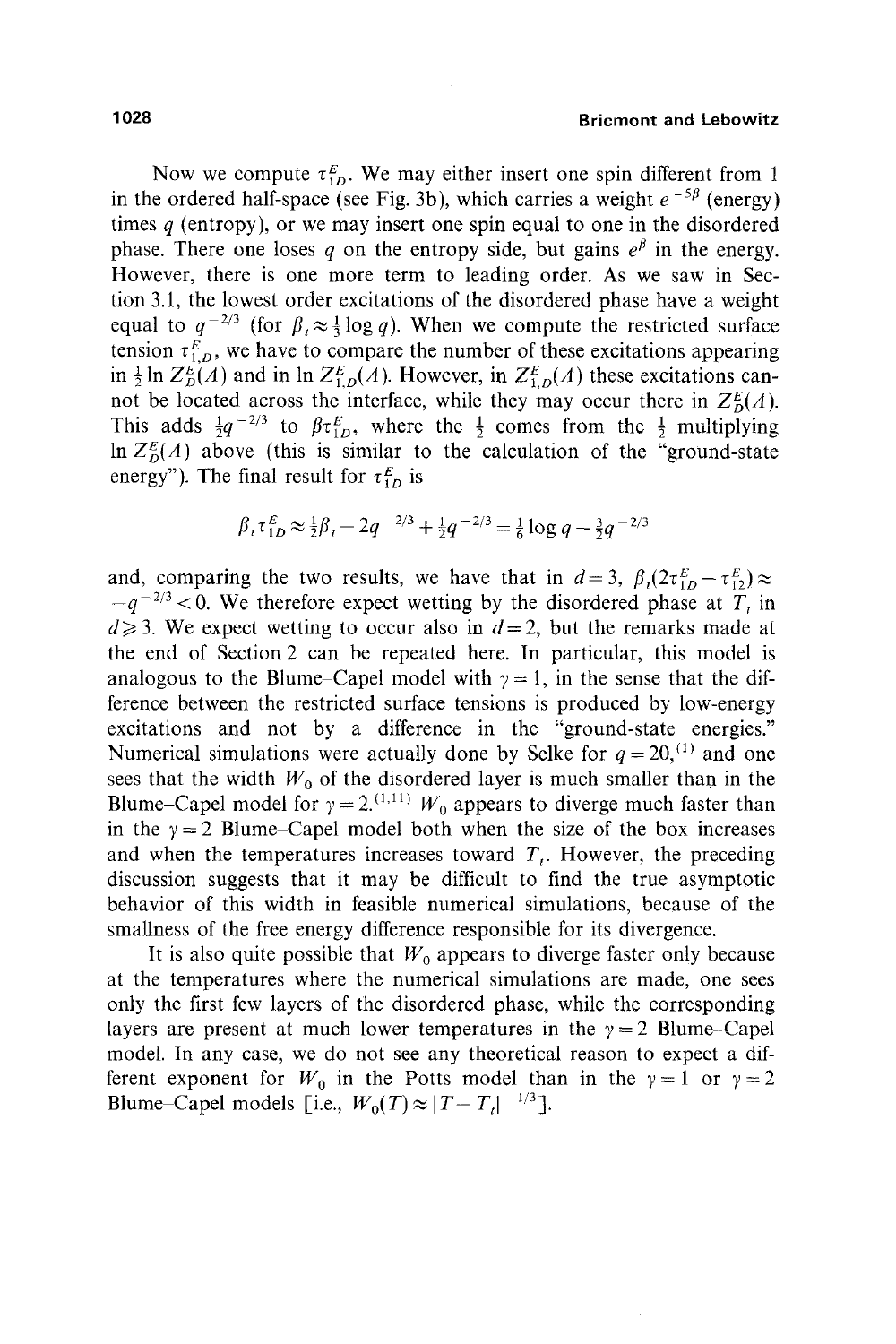Now we compute  $\tau_{1D}^E$ . We may either insert one spin different from 1 in the ordered half-space (see Fig. 3b), which carries a weight  $e^{-5\beta}$  (energy) times  $q$  (entropy), or we may insert one spin equal to one in the disordered phase. There one loses q on the entropy side, but gains  $e^{\beta}$  in the energy. However, there is one more term to leading order. As we saw in Section 3.1, the lowest order excitations of the disordered phase have a weight equal to  $q^{-2/3}$  (for  $\beta$ ,  $\approx \frac{1}{3} \log q$ ). When we compute the restricted surface tension  $\tau_{1,0}^E$ , we have to compare the number of these excitations appearing in  $\frac{1}{2}$  ln  $Z_{D}^{E}(A)$  and in ln  $Z_{1,D}^{E}(A)$ . However, in  $Z_{1,D}^{E}(A)$  these excitations cannot be located across the interface, while they may occur there in  $Z_0^E(A)$ . This adds  $\frac{1}{2}q^{-2/3}$  to  $\beta \tau_{1D}^E$ , where the  $\frac{1}{2}$  comes from the  $\frac{1}{2}$  multiplying  $\ln Z_{p}^{E}(A)$  above (this is similar to the calculation of the "ground-state") energy"). The final result for  $\tau_{1D}^E$  is

$$
\beta_t \tau_{1D}^E \approx \frac{1}{2} \beta_t - 2q^{-2/3} + \frac{1}{2} q^{-2/3} = \frac{1}{6} \log q - \frac{3}{2} q^{-2/3}
$$

and, comparing the two results, we have that in  $d=3$ ,  $\beta_i(2\tau_{1D}^E-\tau_{12}^E)\approx$  $-q^{-2/3}$  < 0. We therefore expect wetting by the disordered phase at  $T<sub>t</sub>$  in  $d \geq 3$ . We expect wetting to occur also in  $d = 2$ , but the remarks made at the end of Section 2 can be repeated here. In particular, this model is analogous to the Blume–Capel model with  $y = 1$ , in the sense that the difference between the restricted surface tensions is produced by low-energy excitations and not by a difference in the "ground-state energies." Numerical simulations were actually done by Selke for  $q = 20$ , <sup>(1)</sup> and one sees that the width  $W_0$  of the disordered layer is much smaller than in the Blume-Capel model for  $\gamma = 2$ <sup>(1,11)</sup>  $W_0$  appears to diverge much faster than in the  $y = 2$  Blume-Capel model both when the size of the box increases and when the temperatures increases toward  $T<sub>i</sub>$ . However, the preceding discussion suggests that it may be difficult to find the true asymptotic behavior of this width in feasible numerical simulations, because of the smallness of the free energy difference responsible for its divergence.

It is also quite possible that  $W_0$  appears to diverge faster only because at the temperatures where the numerical simulations are made, one sees only the first few layers of the disordered phase, while the corresponding layers are present at much lower temperatures in the  $\gamma = 2$  Blume-Capel model. In any case, we do not see any theoretical reason to expect a different exponent for  $W_0$  in the Potts model than in the  $\gamma = 1$  or  $\gamma = 2$ Blume–Capel models [i.e.,  $W_0(T) \approx |T-T_1|^{-1/3}$ ].